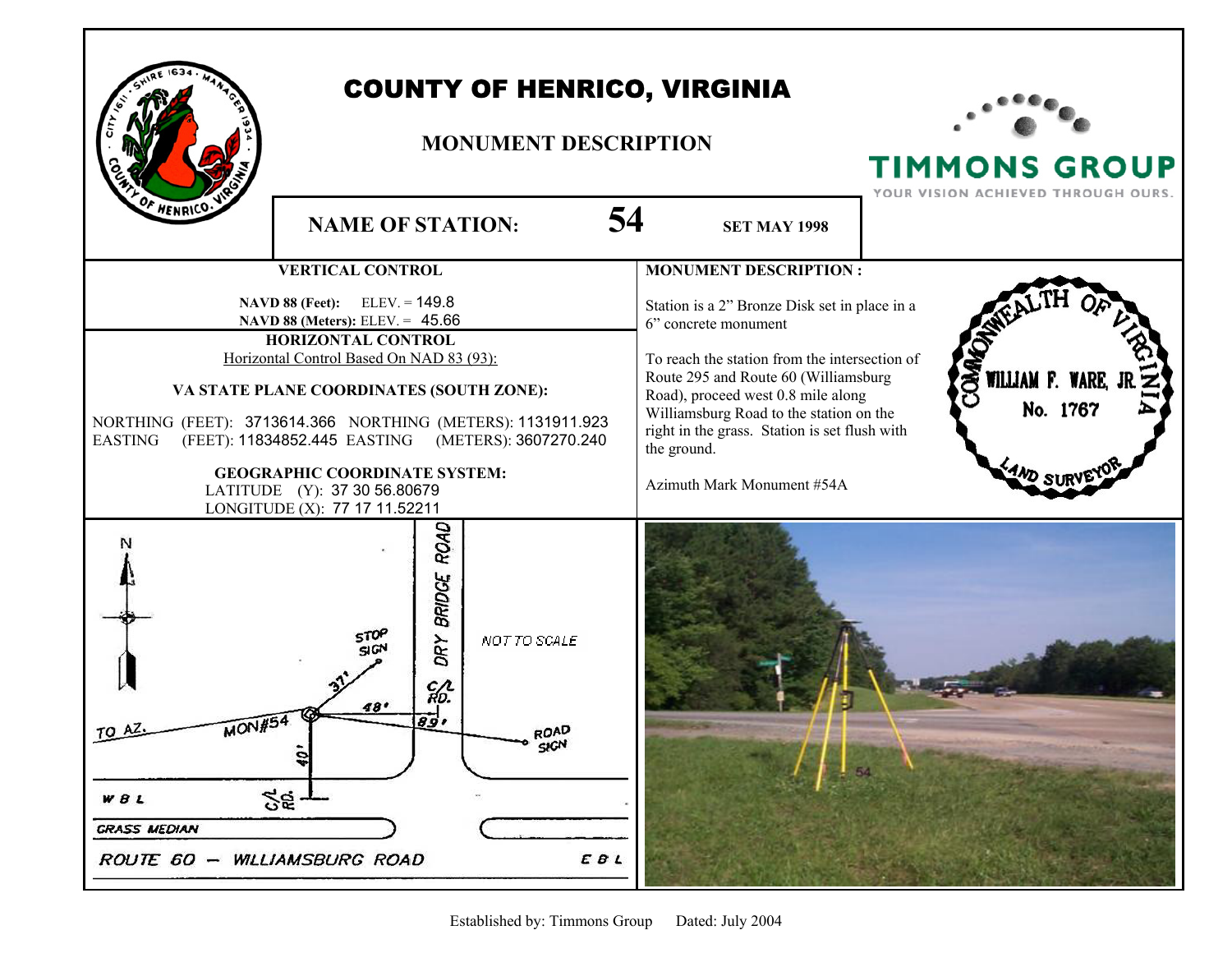

## COUNTY OF HENRICO, VIRGINIA

## **MONUMENT DESCRIPTION**



TIMMONS GROUP